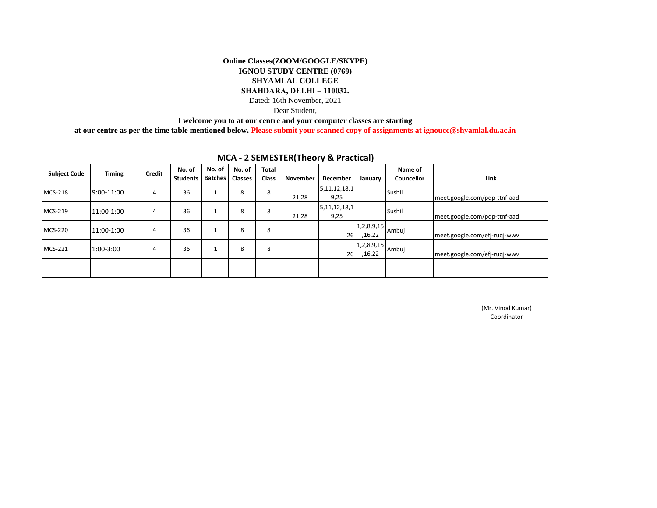Dear Student,

**I welcome you to at our centre and your computer classes are starting** 

**at our centre as per the time table mentioned below. Please submit your scanned copy of assignments at ignoucc@shyamlal.du.ac.in**

| <b>MCA - 2 SEMESTER (Theory &amp; Practical)</b> |               |        |                           |                                    |        |                       |                 |                          |                      |                       |                              |
|--------------------------------------------------|---------------|--------|---------------------------|------------------------------------|--------|-----------------------|-----------------|--------------------------|----------------------|-----------------------|------------------------------|
| <b>Subject Code</b>                              | <b>Timing</b> | Credit | No. of<br><b>Students</b> | No. of<br><b>Batches</b>   Classes | No. of | Total<br><b>Class</b> | <b>November</b> | <b>December</b>          | January              | Name of<br>Councellor | Link                         |
| <b>MCS-218</b>                                   | 9:00-11:00    | 4      | 36                        |                                    | 8      | 8                     | 21,28           | 5, 11, 12, 18, 1<br>9,25 |                      | Sushil                | meet.google.com/pgp-ttnf-aad |
| <b>MCS-219</b>                                   | 11:00-1:00    | 4      | 36                        |                                    | 8      | 8                     | 21,28           | 5, 11, 12, 18, 1<br>9,25 |                      | Sushil                | meet.google.com/pqp-ttnf-aad |
| <b>MCS-220</b>                                   | 11:00-1:00    | 4      | 36                        |                                    | 8      | 8                     |                 | 26                       | 1,2,8,9,15<br>,16,22 | Ambuj                 | meet.google.com/efj-ruqj-wwv |
| <b>MCS-221</b>                                   | 1:00-3:00     | 4      | 36                        |                                    | 8      | 8                     |                 | 26                       | 1,2,8,9,15<br>,16,22 | Ambuj                 | meet.google.com/efj-ruqj-wwv |
|                                                  |               |        |                           |                                    |        |                       |                 |                          |                      |                       |                              |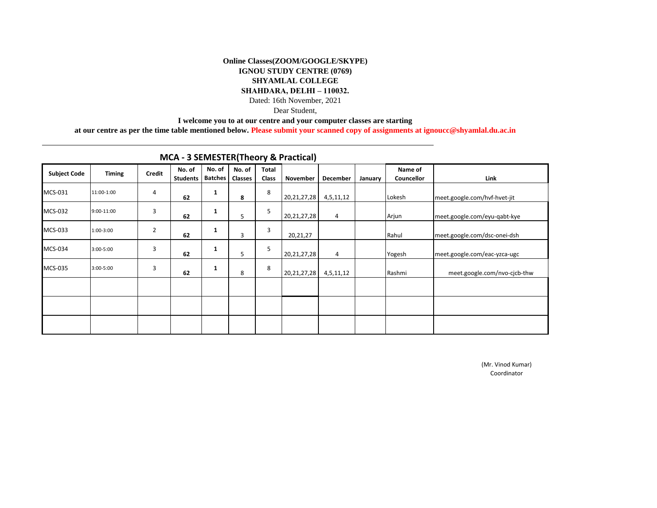Dear Student,

**I welcome you to at our centre and your computer classes are starting** 

**at our centre as per the time table mentioned below. Please submit your scanned copy of assignments at ignoucc@shyamlal.du.ac.in**

| <b>Subject Code</b> | <b>Timing</b> | <b>Credit</b>  | No. of<br><b>Students</b> | No. of<br><b>Batches</b> | $\cdot$<br>No. of<br><b>Classes</b> | $\overline{\phantom{a}}$<br><b>Total</b><br>Class | November       | December  | January | Name of<br>Councellor | Link                         |
|---------------------|---------------|----------------|---------------------------|--------------------------|-------------------------------------|---------------------------------------------------|----------------|-----------|---------|-----------------------|------------------------------|
| MCS-031             | 11:00-1:00    | 4              | 62                        | 1                        | 8                                   | 8                                                 | 20, 21, 27, 28 | 4,5,11,12 |         | Lokesh                | meet.google.com/hvf-hvet-jit |
| MCS-032             | 9:00-11:00    | 3              | 62                        | $\mathbf{1}$             | 5                                   | 5                                                 | 20, 21, 27, 28 | 4         |         | Arjun                 | meet.google.com/eyu-gabt-kye |
| MCS-033             | 1:00-3:00     | $\overline{2}$ | 62                        | $\mathbf{1}$             | 3                                   | $\overline{3}$                                    | 20,21,27       |           |         | Rahul                 | meet.google.com/dsc-onei-dsh |
| <b>MCS-034</b>      | 3:00-5:00     | 3              | 62                        | 1                        | 5                                   | 5                                                 | 20, 21, 27, 28 | 4         |         | Yogesh                | meet.google.com/eac-yzca-ugc |
| MCS-035             | 3:00-5:00     | 3              | 62                        | 1                        | 8                                   | 8                                                 | 20, 21, 27, 28 | 4,5,11,12 |         | Rashmi                | meet.google.com/nvo-cjcb-thw |
|                     |               |                |                           |                          |                                     |                                                   |                |           |         |                       |                              |
|                     |               |                |                           |                          |                                     |                                                   |                |           |         |                       |                              |
|                     |               |                |                           |                          |                                     |                                                   |                |           |         |                       |                              |

# **MCA - 3 SEMESTER(Theory & Practical)**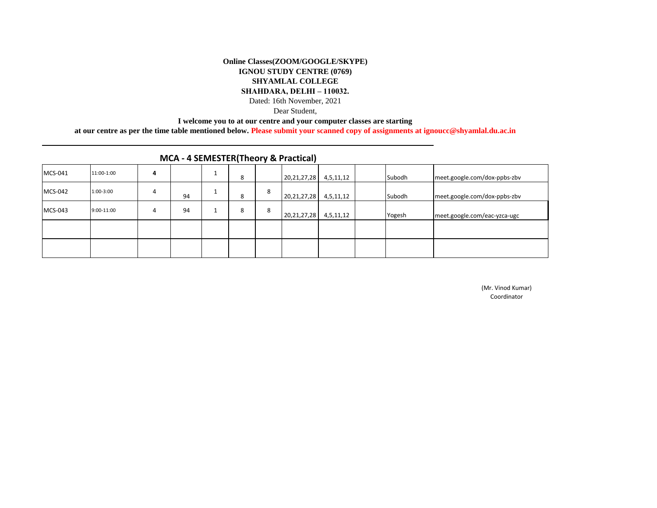Dear Student,

**I welcome you to at our centre and your computer classes are starting** 

**at our centre as per the time table mentioned below. Please submit your scanned copy of assignments at ignoucc@shyamlal.du.ac.in**

| MCS-041        | 11:00-1:00 | 4 |    | ŏ |   | 20, 21, 27, 28 | 4,5,11,12 | Subodh | meet.google.com/dox-ppbs-zbv |
|----------------|------------|---|----|---|---|----------------|-----------|--------|------------------------------|
| <b>MCS-042</b> | 1:00-3:00  | 4 | 94 | 8 | 8 | 20,21,27,28    | 4,5,11,12 | Subodh | meet.google.com/dox-ppbs-zbv |
| MCS-043        | 9:00-11:00 | 4 | 94 | ŏ | 8 | 20, 21, 27, 28 | 4,5,11,12 | Yogesh | meet.google.com/eac-yzca-ugc |
|                |            |   |    |   |   |                |           |        |                              |
|                |            |   |    |   |   |                |           |        |                              |

## **MCA - 4 SEMESTER(Theory & Practical)**